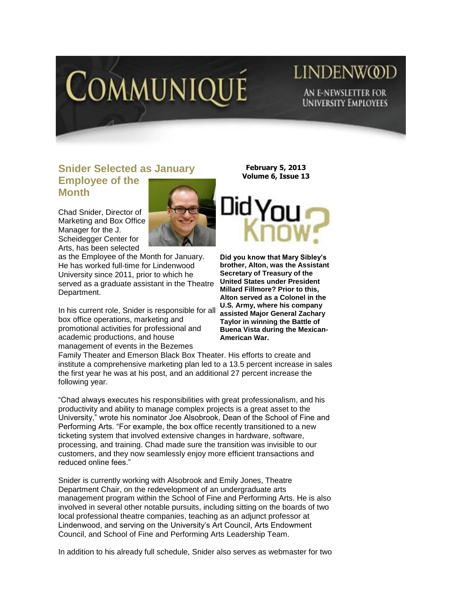

# LINDENW@D AN E-NEWSLETTER FOR **UNIVERSITY EMPLOYEES**

#### **Snider Selected as January Employee of the Month**

Chad Snider, Director of Marketing and Box Office Manager for the J. Scheidegger Center for Arts, has been selected



as the Employee of the Month for January. He has worked full-time for Lindenwood University since 2011, prior to which he served as a graduate assistant in the Theatre Department.

In his current role, Snider is responsible for all box office operations, marketing and promotional activities for professional and academic productions, and house management of events in the Bezemes

**February 5, 2013 Volume 6, Issue 13**



**Did you know that Mary Sibley's brother, Alton, was the Assistant Secretary of Treasury of the United States under President Millard Fillmore? Prior to this, Alton served as a Colonel in the U.S. Army, where his company assisted Major General Zachary Taylor in winning the Battle of Buena Vista during the Mexican-American War.** 

Family Theater and Emerson Black Box Theater. His efforts to create and institute a comprehensive marketing plan led to a 13.5 percent increase in sales the first year he was at his post, and an additional 27 percent increase the following year.

"Chad always executes his responsibilities with great professionalism, and his productivity and ability to manage complex projects is a great asset to the University," wrote his nominator Joe Alsobrook, Dean of the School of Fine and Performing Arts. "For example, the box office recently transitioned to a new ticketing system that involved extensive changes in hardware, software, processing, and training. Chad made sure the transition was invisible to our customers, and they now seamlessly enjoy more efficient transactions and reduced online fees."

Snider is currently working with Alsobrook and Emily Jones, Theatre Department Chair, on the redevelopment of an undergraduate arts management program within the School of Fine and Performing Arts. He is also involved in several other notable pursuits, including sitting on the boards of two local professional theatre companies, teaching as an adjunct professor at Lindenwood, and serving on the University's Art Council, Arts Endowment Council, and School of Fine and Performing Arts Leadership Team.

In addition to his already full schedule, Snider also serves as webmaster for two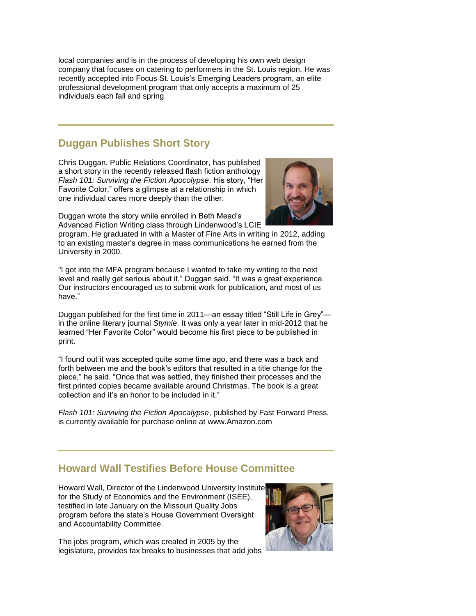local companies and is in the process of developing his own web design company that focuses on catering to performers in the St. Louis region. He was recently accepted into Focus St. Louis's Emerging Leaders program, an elite professional development program that only accepts a maximum of 25 individuals each fall and spring.

### **Duggan Publishes Short Story**

Chris Duggan, Public Relations Coordinator, has published a short story in the recently released flash fiction anthology *Flash 101: Surviving the Fiction Apocolypse*. His story, "Her Favorite Color," offers a glimpse at a relationship in which one individual cares more deeply than the other.



Duggan wrote the story while enrolled in Beth Mead's Advanced Fiction Writing class through Lindenwood's LCIE

program. He graduated in with a Master of Fine Arts in writing in 2012, adding to an existing master's degree in mass communications he earned from the University in 2000.

"I got into the MFA program because I wanted to take my writing to the next level and really get serious about it," Duggan said. "It was a great experience. Our instructors encouraged us to submit work for publication, and most of us have."

Duggan published for the first time in 2011—an essay titled "Still Life in Grey" in the online literary journal *Stymie*. It was only a year later in mid-2012 that he learned "Her Favorite Color" would become his first piece to be published in print.

"I found out it was accepted quite some time ago, and there was a back and forth between me and the book's editors that resulted in a title change for the piece," he said. "Once that was settled, they finished their processes and the first printed copies became available around Christmas. The book is a great collection and it's an honor to be included in it."

*Flash 101: Surviving the Fiction Apocalypse*, published by Fast Forward Press, is currently available for purchase online at [www.Amazon.com](http://www.amazon.com/)

## **Howard Wall Testifies Before House Committee**

Howard Wall, Director of the Lindenwood University Institute for the Study of Economics and the Environment (ISEE), testified in late January on the Missouri Quality Jobs program before the state's House Government Oversight and Accountability Committee.



The jobs program, which was created in 2005 by the legislature, provides tax breaks to businesses that add jobs